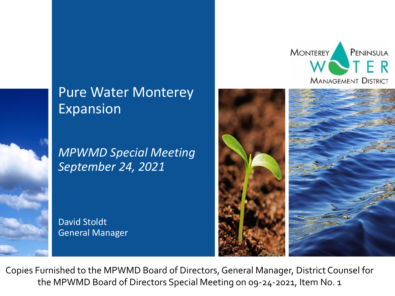## Pure Water Monterey Expansion

*MPWMD Special Meeting September 24, 2021*

David Stoldt General Manager





Copies Furnished to the MPWMD Board of Directors, General Manager, District Counsel for the MPWMD Board of Directors Special Meeting on 09-24-2021, Item No. 1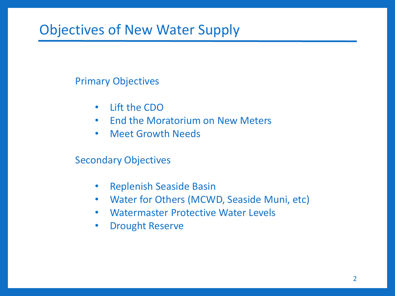## Objectives of New Water Supply

#### Primary Objectives

- Lift the CDO
- End the Moratorium on New Meters
- Meet Growth Needs

#### Secondary Objectives

- Replenish Seaside Basin
- Water for Others (MCWD, Seaside Muni, etc)
- Watermaster Protective Water Levels
- Drought Reserve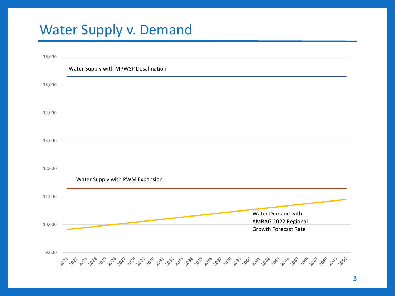# Water Supply v. Demand

| 16,000 |                                                                                                                                       |
|--------|---------------------------------------------------------------------------------------------------------------------------------------|
|        | Water Supply with MPWSP Desalination                                                                                                  |
| 15,000 |                                                                                                                                       |
| 14,000 |                                                                                                                                       |
| 13,000 |                                                                                                                                       |
| 12,000 | Water Supply with PWM Expansion                                                                                                       |
| 11,000 |                                                                                                                                       |
| 10,000 | Water Demand with<br>AMBAG 2022 Regional<br><b>Growth Forecast Rate</b>                                                               |
| 9,000  | చిస్తున్నారు స్క్రీంప్ సర్వార్క్ సర్మా సర్వార్క్ సర్వాస్తున్నారు. సర్వార్క్ సర్వార్క్ సర్వార్క్ సర్వార్క్ సర్వార్క్ సర్వార్క్ సర్వార్ |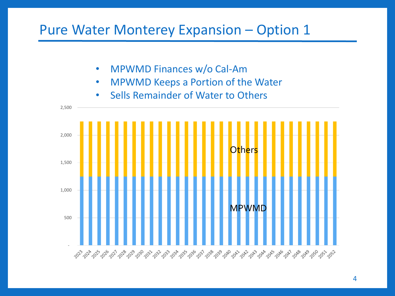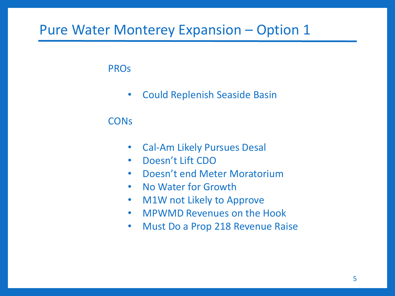PROs

• Could Replenish Seaside Basin

#### **CON<sub>s</sub>**

- Cal-Am Likely Pursues Desal
- Doesn't Lift CDO
- Doesn't end Meter Moratorium
- No Water for Growth
- M1W not Likely to Approve
- MPWMD Revenues on the Hook
- Must Do a Prop 218 Revenue Raise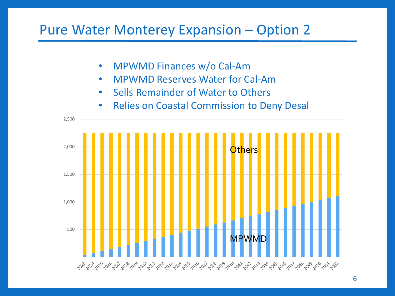- MPWMD Finances w/o Cal-Am
- MPWMD Reserves Water for Cal-Am
- Sells Remainder of Water to Others
- Relies on Coastal Commission to Deny Desal

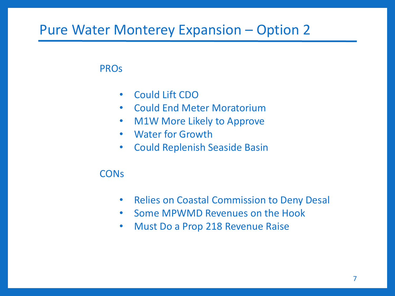#### PROs

- Could Lift CDO
- Could End Meter Moratorium
- M1W More Likely to Approve
- Water for Growth
- Could Replenish Seaside Basin

#### **CON<sub>s</sub>**

- Relies on Coastal Commission to Deny Desal
- Some MPWMD Revenues on the Hook
- Must Do a Prop 218 Revenue Raise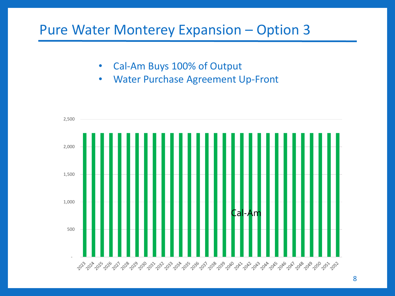- Cal-Am Buys 100% of Output
- Water Purchase Agreement Up-Front

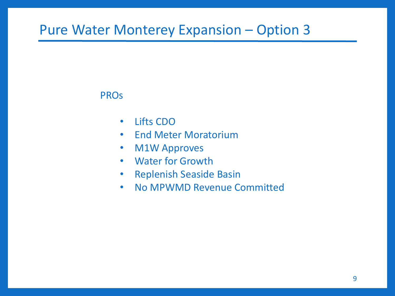#### **PROs**

- Lifts CDO
- End Meter Moratorium
- M1W Approves
- Water for Growth
- Replenish Seaside Basin
- No MPWMD Revenue Committed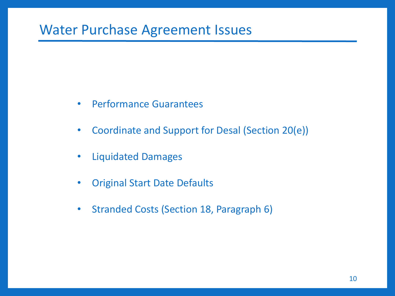### Water Purchase Agreement Issues

- Performance Guarantees
- Coordinate and Support for Desal (Section 20(e))
- Liquidated Damages
- Original Start Date Defaults
- Stranded Costs (Section 18, Paragraph 6)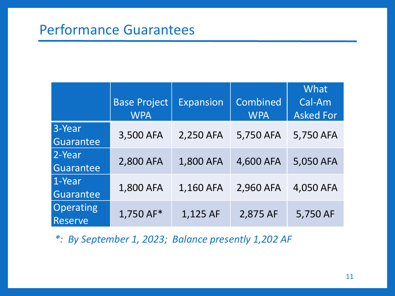### Performance Guarantees

|                             | <b>Base Project</b><br><b>WPA</b> | <b>Expansion</b> | Combined<br><b>WPA</b> | <b>What</b><br>Cal-Am<br><b>Asked For</b> |
|-----------------------------|-----------------------------------|------------------|------------------------|-------------------------------------------|
| 3-Year<br>Guarantee         | 3,500 AFA                         | 2,250 AFA        | 5,750 AFA              | 5,750 AFA                                 |
| 2-Year<br>Guarantee         | 2,800 AFA                         | 1,800 AFA        | 4,600 AFA              | 5,050 AFA                                 |
| 1-Year<br>Guarantee         | 1,800 AFA                         | 1,160 AFA        | 2,960 AFA              | 4,050 AFA                                 |
| Operating<br><b>Reserve</b> | 1,750 AF*                         | 1,125 AF         | 2,875 AF               | 5,750 AF                                  |

*\*: By September 1, 2023; Balance presently 1,202 AF*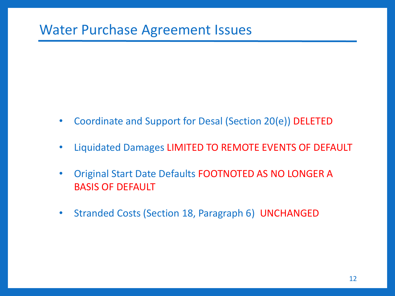- Coordinate and Support for Desal (Section 20(e)) DELETED
- Liquidated Damages LIMITED TO REMOTE EVENTS OF DEFAULT
- Original Start Date Defaults FOOTNOTED AS NO LONGER A BASIS OF DEFAULT
- Stranded Costs (Section 18, Paragraph 6) UNCHANGED